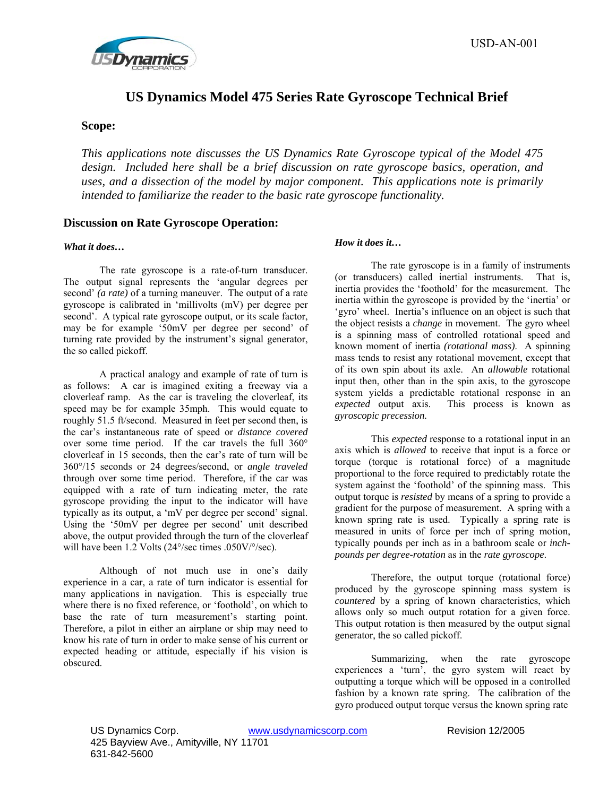

# **US Dynamics Model 475 Series Rate Gyroscope Technical Brief**

## **Scope:**

*This applications note discusses the US Dynamics Rate Gyroscope typical of the Model 475 design. Included here shall be a brief discussion on rate gyroscope basics, operation, and uses, and a dissection of the model by major component. This applications note is primarily intended to familiarize the reader to the basic rate gyroscope functionality.* 

## **Discussion on Rate Gyroscope Operation:**

#### *What it does…*

The rate gyroscope is a rate-of-turn transducer. The output signal represents the 'angular degrees per second' *(a rate)* of a turning maneuver. The output of a rate gyroscope is calibrated in 'millivolts (mV) per degree per second'. A typical rate gyroscope output, or its scale factor, may be for example '50mV per degree per second' of turning rate provided by the instrument's signal generator, the so called pickoff.

A practical analogy and example of rate of turn is as follows: A car is imagined exiting a freeway via a cloverleaf ramp. As the car is traveling the cloverleaf, its speed may be for example 35mph. This would equate to roughly 51.5 ft/second. Measured in feet per second then, is the car's instantaneous rate of speed or *distance covered* over some time period. If the car travels the full 360° cloverleaf in 15 seconds, then the car's rate of turn will be 360°/15 seconds or 24 degrees/second, or *angle traveled*  through over some time period. Therefore, if the car was equipped with a rate of turn indicating meter, the rate gyroscope providing the input to the indicator will have typically as its output, a 'mV per degree per second' signal. Using the '50mV per degree per second' unit described above, the output provided through the turn of the cloverleaf will have been 1.2 Volts (24°/sec times .050V/°/sec).

Although of not much use in one's daily experience in a car, a rate of turn indicator is essential for many applications in navigation. This is especially true where there is no fixed reference, or 'foothold', on which to base the rate of turn measurement's starting point. Therefore, a pilot in either an airplane or ship may need to know his rate of turn in order to make sense of his current or expected heading or attitude, especially if his vision is obscured.

### *How it does it…*

The rate gyroscope is in a family of instruments (or transducers) called inertial instruments. That is, inertia provides the 'foothold' for the measurement. The inertia within the gyroscope is provided by the 'inertia' or 'gyro' wheel. Inertia's influence on an object is such that the object resists a *change* in movement. The gyro wheel is a spinning mass of controlled rotational speed and known moment of inertia *(rotational mass)*. A spinning mass tends to resist any rotational movement, except that of its own spin about its axle. An *allowable* rotational input then, other than in the spin axis, to the gyroscope system yields a predictable rotational response in an *expected* output axis. This process is known as *gyroscopic precession.* 

This *expected* response to a rotational input in an axis which is *allowed* to receive that input is a force or torque (torque is rotational force) of a magnitude proportional to the force required to predictably rotate the system against the 'foothold' of the spinning mass. This output torque is *resisted* by means of a spring to provide a gradient for the purpose of measurement. A spring with a known spring rate is used. Typically a spring rate is measured in units of force per inch of spring motion, typically pounds per inch as in a bathroom scale or *inchpounds per degree-rotation* as in the *rate gyroscope*.

Therefore, the output torque (rotational force) produced by the gyroscope spinning mass system is *countered* by a spring of known characteristics, which allows only so much output rotation for a given force. This output rotation is then measured by the output signal generator, the so called pickoff.

Summarizing, when the rate gyroscope experiences a 'turn', the gyro system will react by outputting a torque which will be opposed in a controlled fashion by a known rate spring. The calibration of the gyro produced output torque versus the known spring rate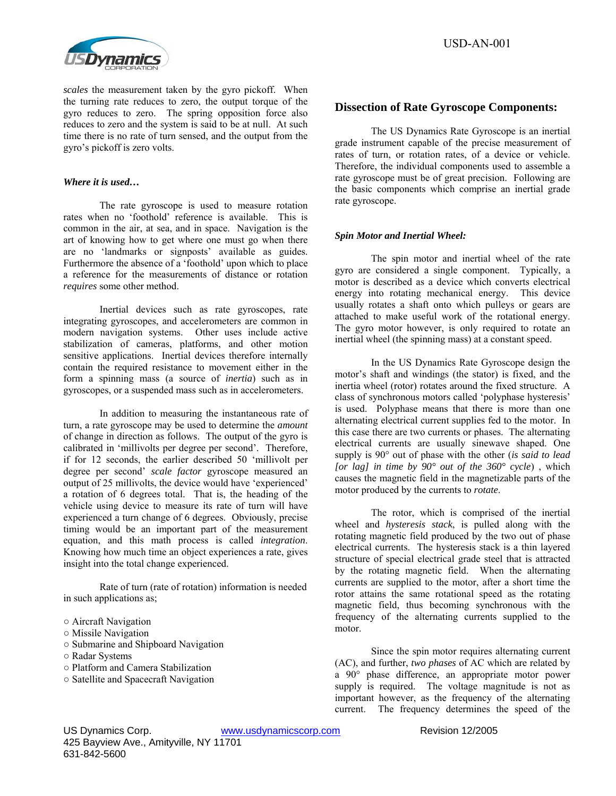

USD-AN-001

*scales* the measurement taken by the gyro pickoff. When the turning rate reduces to zero, the output torque of the gyro reduces to zero. The spring opposition force also reduces to zero and the system is said to be at null. At such time there is no rate of turn sensed, and the output from the gyro's pickoff is zero volts.

#### *Where it is used…*

The rate gyroscope is used to measure rotation rates when no 'foothold' reference is available. This is common in the air, at sea, and in space. Navigation is the art of knowing how to get where one must go when there are no 'landmarks or signposts' available as guides. Furthermore the absence of a 'foothold' upon which to place a reference for the measurements of distance or rotation *requires* some other method.

Inertial devices such as rate gyroscopes, rate integrating gyroscopes, and accelerometers are common in modern navigation systems. Other uses include active stabilization of cameras, platforms, and other motion sensitive applications. Inertial devices therefore internally contain the required resistance to movement either in the form a spinning mass (a source of *inertia*) such as in gyroscopes, or a suspended mass such as in accelerometers.

In addition to measuring the instantaneous rate of turn, a rate gyroscope may be used to determine the *amount* of change in direction as follows. The output of the gyro is calibrated in 'millivolts per degree per second'. Therefore, if for 12 seconds, the earlier described 50 'millivolt per degree per second' *scale factor* gyroscope measured an output of 25 millivolts, the device would have 'experienced' a rotation of 6 degrees total. That is, the heading of the vehicle using device to measure its rate of turn will have experienced a turn change of 6 degrees. Obviously, precise timing would be an important part of the measurement equation, and this math process is called *integration*. Knowing how much time an object experiences a rate, gives insight into the total change experienced.

 Rate of turn (rate of rotation) information is needed in such applications as;

- Submarine and Shipboard Navigation
- Radar Systems
- Platform and Camera Stabilization
- Satellite and Spacecraft Navigation

## **Dissection of Rate Gyroscope Components:**

The US Dynamics Rate Gyroscope is an inertial grade instrument capable of the precise measurement of rates of turn, or rotation rates, of a device or vehicle. Therefore, the individual components used to assemble a rate gyroscope must be of great precision. Following are the basic components which comprise an inertial grade rate gyroscope.

#### *Spin Motor and Inertial Wheel:*

The spin motor and inertial wheel of the rate gyro are considered a single component. Typically, a motor is described as a device which converts electrical energy into rotating mechanical energy. This device usually rotates a shaft onto which pulleys or gears are attached to make useful work of the rotational energy. The gyro motor however, is only required to rotate an inertial wheel (the spinning mass) at a constant speed.

In the US Dynamics Rate Gyroscope design the motor's shaft and windings (the stator) is fixed, and the inertia wheel (rotor) rotates around the fixed structure. A class of synchronous motors called 'polyphase hysteresis' is used. Polyphase means that there is more than one alternating electrical current supplies fed to the motor. In this case there are two currents or phases. The alternating electrical currents are usually sinewave shaped. One supply is 90° out of phase with the other (*is said to lead [or lag] in time by 90° out of the 360° cycle*) , which causes the magnetic field in the magnetizable parts of the motor produced by the currents to *rotate*.

The rotor, which is comprised of the inertial wheel and *hysteresis stack*, is pulled along with the rotating magnetic field produced by the two out of phase electrical currents. The hysteresis stack is a thin layered structure of special electrical grade steel that is attracted by the rotating magnetic field. When the alternating currents are supplied to the motor, after a short time the rotor attains the same rotational speed as the rotating magnetic field, thus becoming synchronous with the frequency of the alternating currents supplied to the motor.

Since the spin motor requires alternating current (AC), and further, *two phases* of AC which are related by a 90° phase difference, an appropriate motor power supply is required. The voltage magnitude is not as important however, as the frequency of the alternating current. The frequency determines the speed of the

<sup>○</sup> Aircraft Navigation

<sup>○</sup> Missile Navigation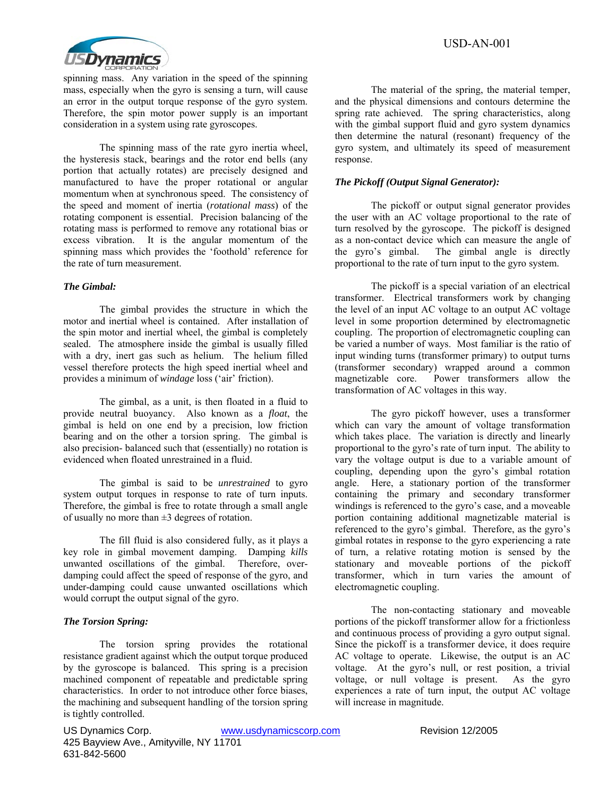

spinning mass. Any variation in the speed of the spinning mass, especially when the gyro is sensing a turn, will cause an error in the output torque response of the gyro system. Therefore, the spin motor power supply is an important consideration in a system using rate gyroscopes.

The spinning mass of the rate gyro inertia wheel, the hysteresis stack, bearings and the rotor end bells (any portion that actually rotates) are precisely designed and manufactured to have the proper rotational or angular momentum when at synchronous speed. The consistency of the speed and moment of inertia (*rotational mass*) of the rotating component is essential. Precision balancing of the rotating mass is performed to remove any rotational bias or excess vibration. It is the angular momentum of the spinning mass which provides the 'foothold' reference for the rate of turn measurement.

#### *The Gimbal:*

 The gimbal provides the structure in which the motor and inertial wheel is contained. After installation of the spin motor and inertial wheel, the gimbal is completely sealed. The atmosphere inside the gimbal is usually filled with a dry, inert gas such as helium. The helium filled vessel therefore protects the high speed inertial wheel and provides a minimum of *windage* loss ('air' friction).

The gimbal, as a unit, is then floated in a fluid to provide neutral buoyancy. Also known as a *float*, the gimbal is held on one end by a precision, low friction bearing and on the other a torsion spring. The gimbal is also precision- balanced such that (essentially) no rotation is evidenced when floated unrestrained in a fluid.

The gimbal is said to be *unrestrained* to gyro system output torques in response to rate of turn inputs. Therefore, the gimbal is free to rotate through a small angle of usually no more than  $\pm 3$  degrees of rotation.

The fill fluid is also considered fully, as it plays a key role in gimbal movement damping. Damping *kills* unwanted oscillations of the gimbal. Therefore, overdamping could affect the speed of response of the gyro, and under-damping could cause unwanted oscillations which would corrupt the output signal of the gyro.

### *The Torsion Spring:*

 The torsion spring provides the rotational resistance gradient against which the output torque produced by the gyroscope is balanced. This spring is a precision machined component of repeatable and predictable spring characteristics. In order to not introduce other force biases, the machining and subsequent handling of the torsion spring is tightly controlled.

 The material of the spring, the material temper, and the physical dimensions and contours determine the spring rate achieved. The spring characteristics, along with the gimbal support fluid and gyro system dynamics then determine the natural (resonant) frequency of the gyro system, and ultimately its speed of measurement response.

### *The Pickoff (Output Signal Generator):*

 The pickoff or output signal generator provides the user with an AC voltage proportional to the rate of turn resolved by the gyroscope. The pickoff is designed as a non-contact device which can measure the angle of the gyro's gimbal. The gimbal angle is directly proportional to the rate of turn input to the gyro system.

 The pickoff is a special variation of an electrical transformer. Electrical transformers work by changing the level of an input AC voltage to an output AC voltage level in some proportion determined by electromagnetic coupling. The proportion of electromagnetic coupling can be varied a number of ways. Most familiar is the ratio of input winding turns (transformer primary) to output turns (transformer secondary) wrapped around a common magnetizable core. Power transformers allow the transformation of AC voltages in this way.

The gyro pickoff however, uses a transformer which can vary the amount of voltage transformation which takes place. The variation is directly and linearly proportional to the gyro's rate of turn input. The ability to vary the voltage output is due to a variable amount of coupling, depending upon the gyro's gimbal rotation angle. Here, a stationary portion of the transformer containing the primary and secondary transformer windings is referenced to the gyro's case, and a moveable portion containing additional magnetizable material is referenced to the gyro's gimbal. Therefore, as the gyro's gimbal rotates in response to the gyro experiencing a rate of turn, a relative rotating motion is sensed by the stationary and moveable portions of the pickoff transformer, which in turn varies the amount of electromagnetic coupling.

The non-contacting stationary and moveable portions of the pickoff transformer allow for a frictionless and continuous process of providing a gyro output signal. Since the pickoff is a transformer device, it does require AC voltage to operate. Likewise, the output is an AC voltage. At the gyro's null, or rest position, a trivial voltage, or null voltage is present. As the gyro experiences a rate of turn input, the output AC voltage will increase in magnitude.

US Dynamics Corp. www.usdynamicscorp.com Revision 12/2005 425 Bayview Ave., Amityville, NY 11701 631-842-5600